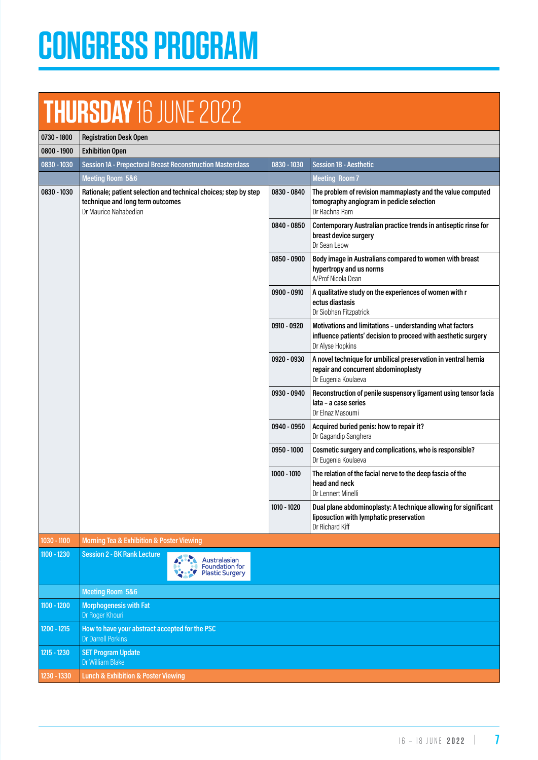# **CONGRESS PROGRAM**

## **THURSDAY** 16 JUNE 2022

| 0730 - 1800 | <b>Registration Desk Open</b>                                                                                                                               |                                                                 |               |                                                                                                                                                |  |  |  |  |
|-------------|-------------------------------------------------------------------------------------------------------------------------------------------------------------|-----------------------------------------------------------------|---------------|------------------------------------------------------------------------------------------------------------------------------------------------|--|--|--|--|
| 0800 - 1900 | <b>Exhibition Open</b>                                                                                                                                      |                                                                 |               |                                                                                                                                                |  |  |  |  |
| 0830 - 1030 | <b>Session 1A - Prepectoral Breast Reconstruction Masterclass</b>                                                                                           |                                                                 | 0830 - 1030   | <b>Session 1B - Aesthetic</b>                                                                                                                  |  |  |  |  |
|             | <b>Meeting Room 5&amp;6</b>                                                                                                                                 |                                                                 |               | <b>Meeting Room 7</b>                                                                                                                          |  |  |  |  |
| 0830 - 1030 | Rationale; patient selection and technical choices; step by step<br>0830 - 0840<br>technique and long term outcomes<br>Dr Maurice Nahabedian<br>0840 - 0850 |                                                                 |               | The problem of revision mammaplasty and the value computed<br>tomography angiogram in pedicle selection<br>Dr Rachna Ram                       |  |  |  |  |
|             |                                                                                                                                                             |                                                                 |               | Contemporary Australian practice trends in antiseptic rinse for<br>breast device surgery<br>Dr Sean Leow                                       |  |  |  |  |
|             |                                                                                                                                                             |                                                                 | 0850 - 0900   | Body image in Australians compared to women with breast<br>hypertropy and us norms<br>A/Prof Nicola Dean                                       |  |  |  |  |
|             |                                                                                                                                                             |                                                                 | 0900 - 0910   | A qualitative study on the experiences of women with r<br>ectus diastasis<br>Dr Siobhan Fitzpatrick                                            |  |  |  |  |
|             |                                                                                                                                                             |                                                                 | 0910 - 0920   | Motivations and limitations - understanding what factors<br>influence patients' decision to proceed with aesthetic surgery<br>Dr Alyse Hopkins |  |  |  |  |
|             |                                                                                                                                                             |                                                                 |               | A novel technique for umbilical preservation in ventral hernia<br>repair and concurrent abdominoplasty<br>Dr Eugenia Koulaeva                  |  |  |  |  |
|             |                                                                                                                                                             |                                                                 | 0930 - 0940   | Reconstruction of penile suspensory ligament using tensor facia<br>lata - a case series<br>Dr Elnaz Masoumi                                    |  |  |  |  |
|             |                                                                                                                                                             |                                                                 | 0940 - 0950   | Acquired buried penis: how to repair it?<br>Dr Gagandip Sanghera                                                                               |  |  |  |  |
|             |                                                                                                                                                             |                                                                 | 0950 - 1000   | Cosmetic surgery and complications, who is responsible?<br>Dr Eugenia Koulaeva                                                                 |  |  |  |  |
|             |                                                                                                                                                             |                                                                 | $1000 - 1010$ | The relation of the facial nerve to the deep fascia of the<br>head and neck<br>Dr Lennert Minelli                                              |  |  |  |  |
|             |                                                                                                                                                             |                                                                 | 1010 - 1020   | Dual plane abdominoplasty: A technique allowing for significant<br>liposuction with lymphatic preservation<br>Dr Richard Kiff                  |  |  |  |  |
| 1030 - 1100 | <b>Morning Tea &amp; Exhibition &amp; Poster Viewing</b>                                                                                                    |                                                                 |               |                                                                                                                                                |  |  |  |  |
| 1100 - 1230 | <b>Session 2 - BK Rank Lecture</b>                                                                                                                          | Australasian<br><b>Foundation for</b><br><b>Plastic Surgery</b> |               |                                                                                                                                                |  |  |  |  |
|             | <b>Meeting Room 5&amp;6</b>                                                                                                                                 |                                                                 |               |                                                                                                                                                |  |  |  |  |
| 1100 - 1200 | <b>Morphogenesis with Fat</b><br>Dr Roger Khouri                                                                                                            |                                                                 |               |                                                                                                                                                |  |  |  |  |
| 1200 - 1215 | How to have your abstract accepted for the PSC<br><b>Dr Darrell Perkins</b>                                                                                 |                                                                 |               |                                                                                                                                                |  |  |  |  |
| 1215 - 1230 | <b>SET Program Update</b><br>Dr William Blake                                                                                                               |                                                                 |               |                                                                                                                                                |  |  |  |  |
| 1230 - 1330 | <b>Lunch &amp; Exhibition &amp; Poster Viewing</b>                                                                                                          |                                                                 |               |                                                                                                                                                |  |  |  |  |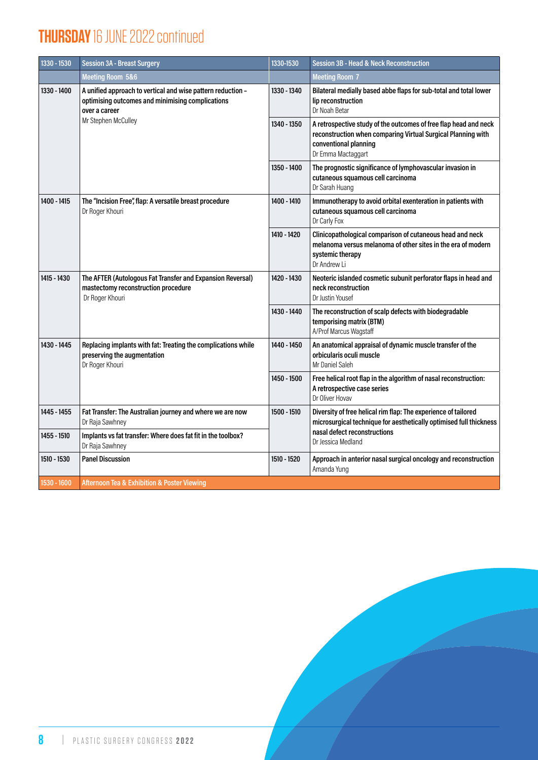### **THURSDAY** 16 JUNE 2022 continued

| 1330 - 1530                                                                               | <b>Session 3A - Breast Surgery</b>                                                                                               | 1330-1530   | <b>Session 3B - Head &amp; Neck Reconstruction</b>                                                                                                                              |  |  |
|-------------------------------------------------------------------------------------------|----------------------------------------------------------------------------------------------------------------------------------|-------------|---------------------------------------------------------------------------------------------------------------------------------------------------------------------------------|--|--|
|                                                                                           | Meeting Room 5&6                                                                                                                 |             | <b>Meeting Room 7</b>                                                                                                                                                           |  |  |
| 1330 - 1400                                                                               | A unified approach to vertical and wise pattern reduction -<br>optimising outcomes and minimising complications<br>over a career | 1330 - 1340 | Bilateral medially based abbe flaps for sub-total and total lower<br>lip reconstruction<br>Dr Noah Betar                                                                        |  |  |
|                                                                                           | Mr Stephen McCulley                                                                                                              | 1340 - 1350 | A retrospective study of the outcomes of free flap head and neck<br>reconstruction when comparing Virtual Surgical Planning with<br>conventional planning<br>Dr Emma Mactaggart |  |  |
|                                                                                           |                                                                                                                                  | 1350 - 1400 | The prognostic significance of lymphovascular invasion in<br>cutaneous squamous cell carcinoma<br>Dr Sarah Huang                                                                |  |  |
| 1400 - 1415<br>The "Incision Free", flap: A versatile breast procedure<br>Dr Roger Khouri |                                                                                                                                  | 1400 - 1410 | Immunotherapy to avoid orbital exenteration in patients with<br>cutaneous squamous cell carcinoma<br>Dr Carly Fox                                                               |  |  |
|                                                                                           |                                                                                                                                  | 1410 - 1420 | Clinicopathological comparison of cutaneous head and neck<br>melanoma versus melanoma of other sites in the era of modern<br>systemic therapy<br>Dr Andrew Li                   |  |  |
| 1415 - 1430                                                                               | The AFTER (Autologous Fat Transfer and Expansion Reversal)<br>mastectomy reconstruction procedure<br>Dr Roger Khouri             | 1420 - 1430 | Neoteric islanded cosmetic subunit perforator flaps in head and<br>neck reconstruction<br>Dr Justin Yousef                                                                      |  |  |
|                                                                                           |                                                                                                                                  | 1430 - 1440 | The reconstruction of scalp defects with biodegradable<br>temporising matrix (BTM)<br>A/Prof Marcus Wagstaff                                                                    |  |  |
| 1430 - 1445                                                                               | Replacing implants with fat: Treating the complications while<br>preserving the augmentation<br>Dr Roger Khouri                  |             | An anatomical appraisal of dynamic muscle transfer of the<br>orbicularis oculi muscle<br>Mr Daniel Saleh                                                                        |  |  |
|                                                                                           |                                                                                                                                  | 1450 - 1500 | Free helical root flap in the algorithm of nasal reconstruction:<br>A retrospective case series<br>Dr Oliver Hovav                                                              |  |  |
| 1445 - 1455                                                                               | Fat Transfer: The Australian journey and where we are now<br>Dr Raja Sawhney                                                     | 1500 - 1510 | Diversity of free helical rim flap: The experience of tailored<br>microsurgical technique for aesthetically optimised full thickness                                            |  |  |
| 1455 - 1510                                                                               | Implants vs fat transfer: Where does fat fit in the toolbox?<br>Dr Raja Sawhney                                                  |             | nasal defect reconstructions<br>Dr Jessica Medland                                                                                                                              |  |  |
| 1510 - 1530                                                                               | <b>Panel Discussion</b>                                                                                                          | 1510 - 1520 | Approach in anterior nasal surgical oncology and reconstruction<br>Amanda Yung                                                                                                  |  |  |
| 1530 - 1600                                                                               | Afternoon Tea & Exhibition & Poster Viewing                                                                                      |             |                                                                                                                                                                                 |  |  |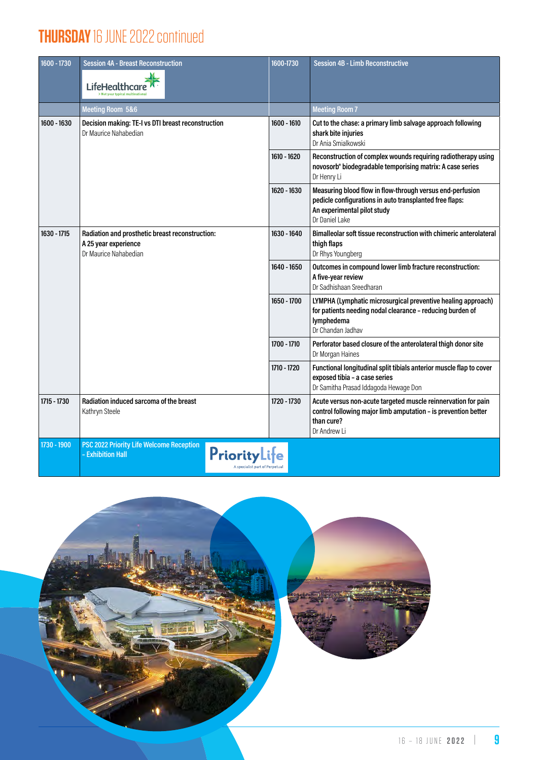#### **THURSDAY** 16 JUNE 2022 continued

| 1600 - 1730                                                                                | <b>Session 4A - Breast Reconstruction</b><br>LifeHealthcare                                                    | 1600-1730   | <b>Session 4B - Limb Reconstructive</b>                                                                                                                               |
|--------------------------------------------------------------------------------------------|----------------------------------------------------------------------------------------------------------------|-------------|-----------------------------------------------------------------------------------------------------------------------------------------------------------------------|
|                                                                                            | <b>Meeting Room 5&amp;6</b>                                                                                    |             | <b>Meeting Room 7</b>                                                                                                                                                 |
| 1600 - 1630<br>Decision making: TE-I vs DTI breast reconstruction<br>Dr Maurice Nahabedian |                                                                                                                | 1600 - 1610 | Cut to the chase: a primary limb salvage approach following<br>shark bite injuries<br>Dr Ania Smialkowski                                                             |
|                                                                                            |                                                                                                                | 1610 - 1620 | Reconstruction of complex wounds requiring radiotherapy using<br>novosorb® biodegradable temporising matrix: A case series<br>Dr Henry Li                             |
|                                                                                            |                                                                                                                | 1620 - 1630 | Measuring blood flow in flow-through versus end-perfusion<br>pedicle configurations in auto transplanted free flaps:<br>An experimental pilot study<br>Dr Daniel Lake |
| 1630 - 1715                                                                                | Radiation and prosthetic breast reconstruction:<br>A 25 year experience<br>Dr Maurice Nahabedian               | 1630 - 1640 | Bimalleolar soft tissue reconstruction with chimeric anterolateral<br>thigh flaps<br>Dr Rhys Youngberg                                                                |
|                                                                                            |                                                                                                                | 1640 - 1650 | Outcomes in compound lower limb fracture reconstruction:<br>A five-year review<br>Dr Sadhishaan Sreedharan                                                            |
|                                                                                            |                                                                                                                | 1650 - 1700 | LYMPHA (Lymphatic microsurgical preventive healing approach)<br>for patients needing nodal clearance - reducing burden of<br>lymphedema<br>Dr Chandan Jadhav          |
|                                                                                            |                                                                                                                | 1700 - 1710 | Perforator based closure of the anterolateral thigh donor site<br>Dr Morgan Haines                                                                                    |
|                                                                                            |                                                                                                                | 1710 - 1720 | Functional longitudinal split tibials anterior muscle flap to cover<br>exposed tibia - a case series<br>Dr Samitha Prasad Iddagoda Hewage Don                         |
| 1715 - 1730                                                                                | Radiation induced sarcoma of the breast<br>Kathryn Steele                                                      | 1720 - 1730 | Acute versus non-acute targeted muscle reinnervation for pain<br>control following major limb amputation - is prevention better<br>than cure?<br>Dr Andrew Li         |
| 1730 - 1900                                                                                | PSC 2022 Priority Life Welcome Reception<br>PriorityLite<br>- Exhibition Hall<br>A specialist part of Perpetua |             |                                                                                                                                                                       |

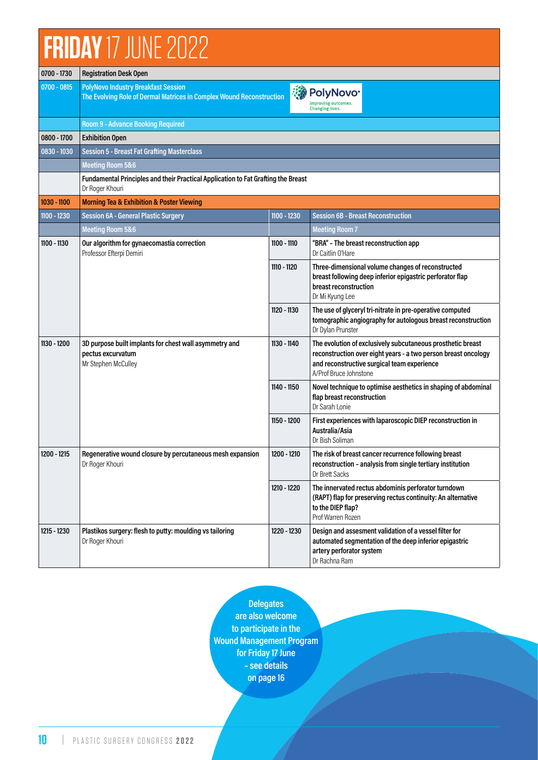## **FRIDAY** 17 JUNE 2022

| 0700 - 1730                                                                                                       | <b>Registration Desk Open</b>                                                                                      |             |                                                                                                                                                                                                        |  |  |  |  |
|-------------------------------------------------------------------------------------------------------------------|--------------------------------------------------------------------------------------------------------------------|-------------|--------------------------------------------------------------------------------------------------------------------------------------------------------------------------------------------------------|--|--|--|--|
| 0700 - 0815                                                                                                       | <b>PolyNovo Industry Breakfast Session</b><br>The Evolving Role of Dermal Matrices in Complex Wound Reconstruction |             | ं PolyNovo®<br>Improving outcomes.<br><b>Changing lives.</b>                                                                                                                                           |  |  |  |  |
|                                                                                                                   | <b>Room 9 - Advance Booking Required</b>                                                                           |             |                                                                                                                                                                                                        |  |  |  |  |
| $0800 - 1700$                                                                                                     | <b>Exhibition Open</b>                                                                                             |             |                                                                                                                                                                                                        |  |  |  |  |
| $0830 - 1030$                                                                                                     | <b>Session 5 - Breast Fat Grafting Masterclass</b>                                                                 |             |                                                                                                                                                                                                        |  |  |  |  |
|                                                                                                                   | <b>Meeting Room 5&amp;6</b>                                                                                        |             |                                                                                                                                                                                                        |  |  |  |  |
|                                                                                                                   | Fundamental Principles and their Practical Application to Fat Grafting the Breast<br>Dr Roger Khouri               |             |                                                                                                                                                                                                        |  |  |  |  |
| 1030 - 1100                                                                                                       | <b>Morning Tea &amp; Exhibition &amp; Poster Viewing</b>                                                           |             |                                                                                                                                                                                                        |  |  |  |  |
| 1100 - 1230                                                                                                       | <b>Session 6A - General Plastic Surgery</b>                                                                        | 1100 - 1230 | <b>Session 6B - Breast Reconstruction</b>                                                                                                                                                              |  |  |  |  |
|                                                                                                                   | <b>Meeting Room 5&amp;6</b>                                                                                        |             | <b>Meeting Room 7</b>                                                                                                                                                                                  |  |  |  |  |
| 1100 - 1130                                                                                                       | Our algorithm for gynaecomastia correction<br>1100 - 1110<br>Professor Efterpi Demiri                              |             | "BRA" - The breast reconstruction app<br>Dr Caitlin O'Hare                                                                                                                                             |  |  |  |  |
|                                                                                                                   |                                                                                                                    | 1110 - 1120 | Three-dimensional volume changes of reconstructed<br>breast following deep inferior epigastric perforator flap<br>breast reconstruction<br>Dr Mi Kyung Lee                                             |  |  |  |  |
|                                                                                                                   |                                                                                                                    | 1120 - 1130 | The use of glyceryl tri-nitrate in pre-operative computed<br>tomographic angiography for autologous breast reconstruction<br>Dr Dylan Prunster                                                         |  |  |  |  |
| 1130 - 1200<br>3D purpose built implants for chest wall asymmetry and<br>pectus excurvatum<br>Mr Stephen McCulley |                                                                                                                    | 1130 - 1140 | The evolution of exclusively subcutaneous prosthetic breast<br>reconstruction over eight years - a two person breast oncology<br>and reconstructive surgical team experience<br>A/Prof Bruce Johnstone |  |  |  |  |
|                                                                                                                   |                                                                                                                    | 1140 - 1150 | Novel technique to optimise aesthetics in shaping of abdominal<br>flap breast reconstruction<br>Dr Sarah Lonie                                                                                         |  |  |  |  |
|                                                                                                                   |                                                                                                                    | 1150 - 1200 | First experiences with laparoscopic DIEP reconstruction in<br>Australia/Asia<br>Dr Bish Soliman                                                                                                        |  |  |  |  |
| 1200 - 1215                                                                                                       | Regenerative wound closure by percutaneous mesh expansion<br>Dr Roger Khouri                                       | 1200 - 1210 | The risk of breast cancer recurrence following breast<br>reconstruction - analysis from single tertiary institution<br>Dr Brett Sacks                                                                  |  |  |  |  |
|                                                                                                                   |                                                                                                                    | 1210 - 1220 | The innervated rectus abdominis perforator turndown<br>(RAPT) flap for preserving rectus continuity: An alternative<br>to the DIEP flap?<br>Prof Warren Rozen                                          |  |  |  |  |
| 1215 - 1230                                                                                                       | Plastikos surgery: flesh to putty: moulding vs tailoring<br>Dr Roger Khouri                                        | 1220 - 1230 | Design and assesment validation of a vessel filter for<br>automated segmentation of the deep inferior epigastric<br>artery perforator system<br>Dr Rachna Ram                                          |  |  |  |  |

**Delegates are also welcome to participate in the Wound Management Program for Friday 17 June – see details on page 16**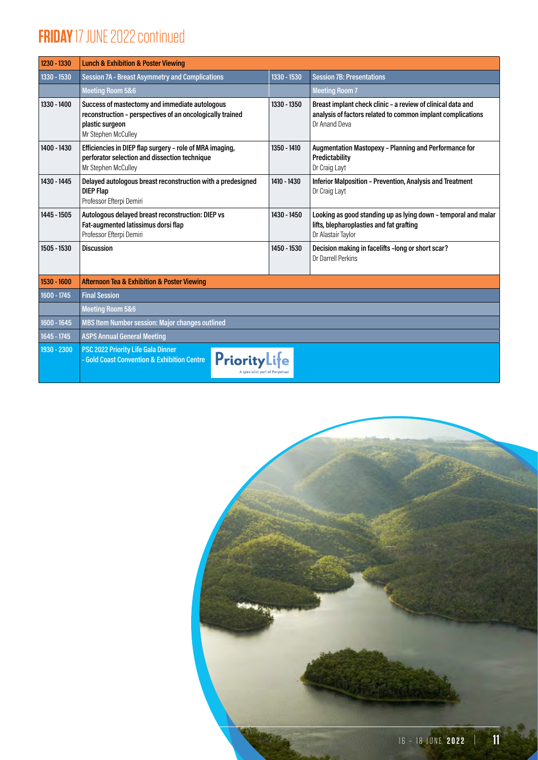### **FRIDAY** 17 JUNE 2022 continued

| 1230 - 1330 | <b>Lunch &amp; Exhibition &amp; Poster Viewing</b>                                                                                                    |             |                                                                                                                                             |  |  |  |  |
|-------------|-------------------------------------------------------------------------------------------------------------------------------------------------------|-------------|---------------------------------------------------------------------------------------------------------------------------------------------|--|--|--|--|
| 1330 - 1530 | <b>Session 7A - Breast Asymmetry and Complications</b><br>1330 - 1530                                                                                 |             | <b>Session 7B: Presentations</b>                                                                                                            |  |  |  |  |
|             | <b>Meeting Room 5&amp;6</b>                                                                                                                           |             | <b>Meeting Room 7</b>                                                                                                                       |  |  |  |  |
| 1330 - 1400 | Success of mastectomy and immediate autologous<br>reconstruction - perspectives of an oncologically trained<br>plastic surgeon<br>Mr Stephen McCulley | 1330 - 1350 | Breast implant check clinic - a review of clinical data and<br>analysis of factors related to common implant complications<br>Dr Anand Deva |  |  |  |  |
| 1400 - 1430 | Efficiencies in DIEP flap surgery - role of MRA imaging,<br>perforator selection and dissection technique<br>Mr Stephen McCulley                      | 1350 - 1410 | Augmentation Mastopexy - Planning and Performance for<br>Predictability<br>Dr Craig Layt                                                    |  |  |  |  |
| 1430 - 1445 | Delayed autologous breast reconstruction with a predesigned<br><b>DIEP Flap</b><br>Professor Efterpi Demiri                                           | 1410 - 1430 | <b>Inferior Malposition - Prevention, Analysis and Treatment</b><br>Dr Craig Layt                                                           |  |  |  |  |
| 1445 - 1505 | Autologous delayed breast reconstruction: DIEP vs<br>Fat-augmented latissimus dorsi flap<br>Professor Efterpi Demiri                                  | 1430 - 1450 | Looking as good standing up as lying down - temporal and malar<br>lifts, blepharoplasties and fat grafting<br>Dr Alastair Taylor            |  |  |  |  |
| 1505 - 1530 | <b>Discussion</b>                                                                                                                                     | 1450 - 1530 | Decision making in facelifts -long or short scar?<br>Dr Darrell Perkins                                                                     |  |  |  |  |
| 1530 - 1600 | <b>Afternoon Tea &amp; Exhibition &amp; Poster Viewing</b>                                                                                            |             |                                                                                                                                             |  |  |  |  |
| 1600 - 1745 | <b>Final Session</b>                                                                                                                                  |             |                                                                                                                                             |  |  |  |  |
|             | <b>Meeting Room 5&amp;6</b>                                                                                                                           |             |                                                                                                                                             |  |  |  |  |
| 1600 - 1645 | <b>MBS Item Number session: Major changes outlined</b>                                                                                                |             |                                                                                                                                             |  |  |  |  |
| 1645 - 1745 | <b>ASPS Annual General Meeting</b>                                                                                                                    |             |                                                                                                                                             |  |  |  |  |
| 1930 - 2300 | PSC 2022 Priority Life Gala Dinner<br>PriorityLife<br>- Gold Coast Convention & Exhibition Centre                                                     |             |                                                                                                                                             |  |  |  |  |

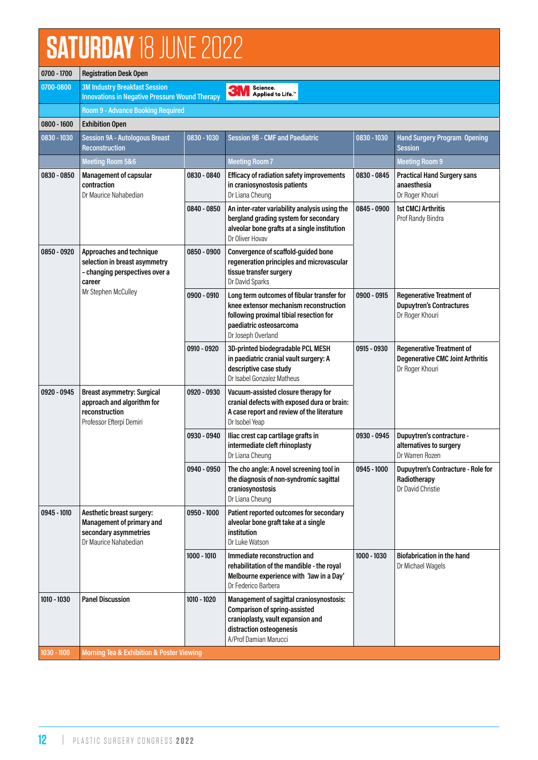# **SATURDAY** 18 JUNE 2022

| 0700 - 1700                                                                                                                  | <b>Registration Desk Open</b>                                                                                                               |               |                                                                                                                                                                                  |               |                                                                                                |  |
|------------------------------------------------------------------------------------------------------------------------------|---------------------------------------------------------------------------------------------------------------------------------------------|---------------|----------------------------------------------------------------------------------------------------------------------------------------------------------------------------------|---------------|------------------------------------------------------------------------------------------------|--|
| 0700-0800                                                                                                                    | <b>3M Industry Breakfast Session</b><br>Science.<br><b>3M</b><br>Applied to Life.™<br><b>Innovations in Negative Pressure Wound Therapy</b> |               |                                                                                                                                                                                  |               |                                                                                                |  |
|                                                                                                                              | <b>Room 9 - Advance Booking Required</b>                                                                                                    |               |                                                                                                                                                                                  |               |                                                                                                |  |
| $0800 - 1600$                                                                                                                | <b>Exhibition Open</b>                                                                                                                      |               |                                                                                                                                                                                  |               |                                                                                                |  |
| 0830 - 1030                                                                                                                  | <b>Session 9A - Autologous Breast</b><br>Reconstruction                                                                                     | 0830 - 1030   | <b>Session 9B - CMF and Paediatric</b>                                                                                                                                           | 0830 - 1030   | <b>Hand Surgery Program Opening</b><br><b>Session</b>                                          |  |
|                                                                                                                              | Meeting Room 5&6                                                                                                                            |               | <b>Meeting Room 7</b>                                                                                                                                                            |               | <b>Meeting Room 9</b>                                                                          |  |
| 0830 - 0850                                                                                                                  | <b>Management of capsular</b><br>contraction<br>Dr Maurice Nahabedian                                                                       | 0830 - 0840   | <b>Efficacy of radiation safety improvements</b><br>in craniosynostosis patients<br>Dr Liana Cheung                                                                              | 0830 - 0845   | <b>Practical Hand Surgery sans</b><br>anaesthesia<br>Dr Roger Khouri                           |  |
|                                                                                                                              |                                                                                                                                             | 0840 - 0850   | An inter-rater variability analysis using the<br>bergland grading system for secondary<br>alveolar bone grafts at a single institution<br>Dr Oliver Hovav                        | 0845 - 0900   | <b>1st CMCJ Arthritis</b><br>Prof Randy Bindra                                                 |  |
| 0850 - 0920                                                                                                                  | Approaches and technique<br>selection in breast asymmetry<br>- changing perspectives over a<br>career<br>Mr Stephen McCulley                | 0850 - 0900   | Convergence of scaffold-guided bone<br>regeneration principles and microvascular<br>tissue transfer surgery<br>Dr David Sparks                                                   |               |                                                                                                |  |
|                                                                                                                              |                                                                                                                                             | 0900 - 0910   | Long term outcomes of fibular transfer for<br>knee extensor mechanism reconstruction<br>following proximal tibial resection for<br>paediatric osteosarcoma<br>Dr Joseph Overland | 0900 - 0915   | <b>Regenerative Treatment of</b><br><b>Dupuytren's Contractures</b><br>Dr Roger Khouri         |  |
|                                                                                                                              |                                                                                                                                             | 0910 - 0920   | 3D-printed biodegradable PCL MESH<br>in paediatric cranial vault surgery: A<br>descriptive case study<br>Dr Isabel Gonzalez Matheus                                              | 0915 - 0930   | <b>Regenerative Treatment of</b><br><b>Degenerative CMC Joint Arthritis</b><br>Dr Roger Khouri |  |
| 0920 - 0945<br><b>Breast asymmetry: Surgical</b><br>approach and algorithm for<br>reconstruction<br>Professor Efterpi Demiri |                                                                                                                                             | 0920 - 0930   | Vacuum-assisted closure therapy for<br>cranial defects with exposed dura or brain:<br>A case report and review of the literature<br>Dr Isobel Yeap                               |               |                                                                                                |  |
|                                                                                                                              |                                                                                                                                             | 0930 - 0940   | Iliac crest cap cartilage grafts in<br>intermediate cleft rhinoplasty<br>Dr Liana Cheung                                                                                         | 0930 - 0945   | Dupuytren's contracture -<br>alternatives to surgery<br>Dr Warren Rozen                        |  |
|                                                                                                                              |                                                                                                                                             | 0940 - 0950   | The cho angle: A novel screening tool in<br>the diagnosis of non-syndromic sagittal<br>craniosynostosis<br>Dr Liana Cheung                                                       | 0945 - 1000   | <b>Dupuytren's Contracture - Role for</b><br>Radiotherapy<br>Dr David Christie                 |  |
| 0945 - 1010                                                                                                                  | Aesthetic breast surgery:<br>Management of primary and<br>secondary asymmetries<br>Dr Maurice Nahabedian                                    | $0950 - 1000$ | Patient reported outcomes for secondary<br>alveolar bone graft take at a single<br>institution<br>Dr Luke Watson                                                                 |               |                                                                                                |  |
|                                                                                                                              |                                                                                                                                             | 1000 - 1010   | Immediate reconstruction and<br>rehabilitation of the mandible - the royal<br>Melbourne experience with 'Jaw in a Day'<br>Dr Federico Barbera                                    | $1000 - 1030$ | <b>Biofabrication in the hand</b><br>Dr Michael Wagels                                         |  |
| 1010 - 1030                                                                                                                  | <b>Panel Discussion</b>                                                                                                                     | 1010 - 1020   | Management of sagittal craniosynostosis:<br><b>Comparison of spring-assisted</b><br>cranioplasty, vault expansion and<br>distraction osteogenesis<br>A/Prof Damian Marucci       |               |                                                                                                |  |
| 1030 - 1100                                                                                                                  | <b>Morning Tea &amp; Exhibition &amp; Poster Viewing</b>                                                                                    |               |                                                                                                                                                                                  |               |                                                                                                |  |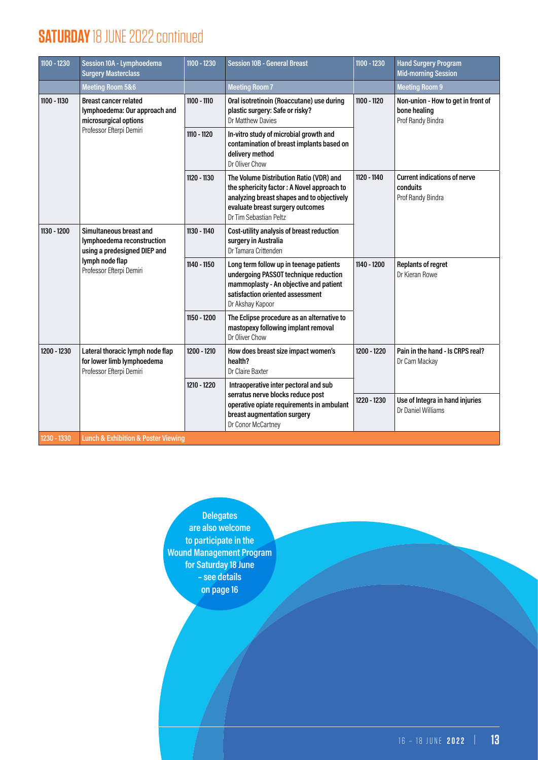#### **SATURDAY** 18 JUNE 2022 continued

| 1100 - 1230   | Session 10A - Lymphoedema<br><b>Surgery Masterclass</b>                                                                              | 1100 - 1230 | <b>Session 10B - General Breast</b>                                                                                                                                                               | 1100 - 1230 | <b>Hand Surgery Program</b><br><b>Mid-morning Session</b>               |
|---------------|--------------------------------------------------------------------------------------------------------------------------------------|-------------|---------------------------------------------------------------------------------------------------------------------------------------------------------------------------------------------------|-------------|-------------------------------------------------------------------------|
|               | <b>Meeting Room 5&amp;6</b>                                                                                                          |             | <b>Meeting Room 7</b>                                                                                                                                                                             |             | <b>Meeting Room 9</b>                                                   |
| $1100 - 1130$ | <b>Breast cancer related</b><br>lymphoedema: Our approach and<br>microsurgical options<br>Professor Efterpi Demiri                   | 1100 - 1110 | Oral isotretinoin (Roaccutane) use during<br>plastic surgery: Safe or risky?<br>Dr Matthew Davies                                                                                                 | 1100 - 1120 | Non-union - How to get in front of<br>bone healing<br>Prof Randy Bindra |
|               |                                                                                                                                      | 1110 - 1120 | In-vitro study of microbial growth and<br>contamination of breast implants based on<br>delivery method<br>Dr Oliver Chow                                                                          |             |                                                                         |
|               |                                                                                                                                      | 1120 - 1130 | The Volume Distribution Ratio (VDR) and<br>the sphericity factor: A Novel approach to<br>analyzing breast shapes and to objectively<br>evaluate breast surgery outcomes<br>Dr Tim Sebastian Peltz | 1120 - 1140 | <b>Current indications of nerve</b><br>conduits<br>Prof Randy Bindra    |
| 1130 - 1200   | Simultaneous breast and<br>lymphoedema reconstruction<br>using a predesigned DIEP and<br>lymph node flap<br>Professor Efterpi Demiri | 1130 - 1140 | Cost-utility analysis of breast reduction<br>surgery in Australia<br>Dr Tamara Crittenden                                                                                                         |             |                                                                         |
|               |                                                                                                                                      | 1140 - 1150 | Long term follow up in teenage patients<br>undergoing PASSOT technique reduction<br>mammoplasty - An objective and patient<br>satisfaction oriented assessment<br>Dr Akshay Kapoor                | 1140 - 1200 | <b>Replants of regret</b><br>Dr Kieran Rowe                             |
|               |                                                                                                                                      | 1150 - 1200 | The Eclipse procedure as an alternative to<br>mastopexy following implant removal<br>Dr Oliver Chow                                                                                               |             |                                                                         |
| 1200 - 1230   | Lateral thoracic lymph node flap<br>for lower limb lymphoedema<br>Professor Efterpi Demiri                                           | 1200 - 1210 | How does breast size impact women's<br>health?<br>Dr Claire Baxter                                                                                                                                | 1200 - 1220 | Pain in the hand - Is CRPS real?<br>Dr Cam Mackay                       |
|               |                                                                                                                                      | 1210 - 1220 | Intraoperative inter pectoral and sub                                                                                                                                                             |             |                                                                         |
|               |                                                                                                                                      |             | serratus nerve blocks reduce post<br>operative opiate requirements in ambulant<br>breast augmentation surgery<br>Dr Conor McCartney                                                               | 1220 - 1230 | Use of Integra in hand injuries<br>Dr Daniel Williams                   |
| 1230 - 1330   | <b>Lunch &amp; Exhibition &amp; Poster Viewing</b>                                                                                   |             |                                                                                                                                                                                                   |             |                                                                         |

**Delegates are also welcome to participate in the Wound Management Program for Saturday 18 June – see details on page 16**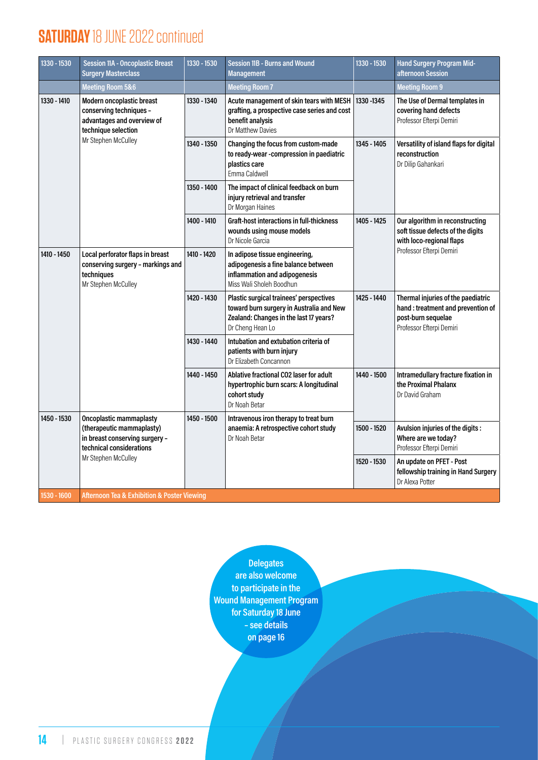#### **SATURDAY** 18 JUNE 2022 continued

| 1330 - 1530 | <b>Session 11A - Oncoplastic Breast</b><br><b>Surgery Masterclass</b>                                                            | 1330 - 1530 | <b>Session 11B - Burns and Wound</b><br><b>Management</b>                                                                                         | 1330 - 1530 | <b>Hand Surgery Program Mid-</b><br>afternoon Session                                                                     |
|-------------|----------------------------------------------------------------------------------------------------------------------------------|-------------|---------------------------------------------------------------------------------------------------------------------------------------------------|-------------|---------------------------------------------------------------------------------------------------------------------------|
|             | <b>Meeting Room 5&amp;6</b>                                                                                                      |             | <b>Meeting Room 7</b>                                                                                                                             |             | <b>Meeting Room 9</b>                                                                                                     |
| 1330 - 1410 | Modern oncoplastic breast<br>conserving techniques -<br>advantages and overview of<br>technique selection<br>Mr Stephen McCulley | 1330 - 1340 | Acute management of skin tears with MESH<br>grafting, a prospective case series and cost<br>benefit analysis<br>Dr Matthew Davies                 | 1330 - 1345 | The Use of Dermal templates in<br>covering hand defects<br>Professor Efterpi Demiri                                       |
|             |                                                                                                                                  | 1340 - 1350 | Changing the focus from custom-made<br>to ready-wear -compression in paediatric<br>plastics care<br>Emma Caldwell                                 | 1345 - 1405 | Versatility of island flaps for digital<br>reconstruction<br>Dr Dilip Gahankari                                           |
|             |                                                                                                                                  | 1350 - 1400 | The impact of clinical feedback on burn<br>injury retrieval and transfer<br>Dr Morgan Haines                                                      |             |                                                                                                                           |
|             |                                                                                                                                  | 1400 - 1410 | Graft-host interactions in full-thickness<br>wounds using mouse models<br>Dr Nicole Garcia                                                        | 1405 - 1425 | Our algorithm in reconstructing<br>soft tissue defects of the digits<br>with loco-regional flaps                          |
| 1410 - 1450 | Local perforator flaps in breast<br>conserving surgery - markings and<br>techniques<br>Mr Stephen McCulley                       | 1410 - 1420 | In adipose tissue engineering,<br>adipogenesis a fine balance between<br>inflammation and adipogenesis<br>Miss Wali Sholeh Boodhun                |             | Professor Efterpi Demiri                                                                                                  |
|             |                                                                                                                                  | 1420 - 1430 | Plastic surgical trainees' perspectives<br>toward burn surgery in Australia and New<br>Zealand: Changes in the last 17 years?<br>Dr Cheng Hean Lo | 1425 - 1440 | Thermal injuries of the paediatric<br>hand: treatment and prevention of<br>post-burn sequelae<br>Professor Efterpi Demiri |
|             |                                                                                                                                  | 1430 - 1440 | Intubation and extubation criteria of<br>patients with burn injury<br>Dr Elizabeth Concannon                                                      |             |                                                                                                                           |
|             |                                                                                                                                  | 1440 - 1450 | Ablative fractional CO2 laser for adult<br>hypertrophic burn scars: A longitudinal<br>cohort study<br>Dr Noah Betar                               | 1440 - 1500 | Intramedullary fracture fixation in<br>the Proximal Phalanx<br>Dr David Graham                                            |
| 1450 - 1530 | <b>Oncoplastic mammaplasty</b><br>(therapeutic mammaplasty)<br>in breast conserving surgery -<br>technical considerations        | 1450 - 1500 | Intravenous iron therapy to treat burn<br>anaemia: A retrospective cohort study<br>Dr Noah Betar                                                  | 1500 - 1520 | Avulsion injuries of the digits :<br>Where are we today?<br>Professor Efterpi Demiri                                      |
|             | Mr Stephen McCulley                                                                                                              |             |                                                                                                                                                   | 1520 - 1530 | An update on PFET - Post<br>fellowship training in Hand Surgery<br>Dr Alexa Potter                                        |
| 1530 - 1600 | <b>Afternoon Tea &amp; Exhibition &amp; Poster Viewing</b>                                                                       |             |                                                                                                                                                   |             |                                                                                                                           |

**Delegates are also welcome to participate in the Wound Management Program for Saturday 18 June – see details on page 16**